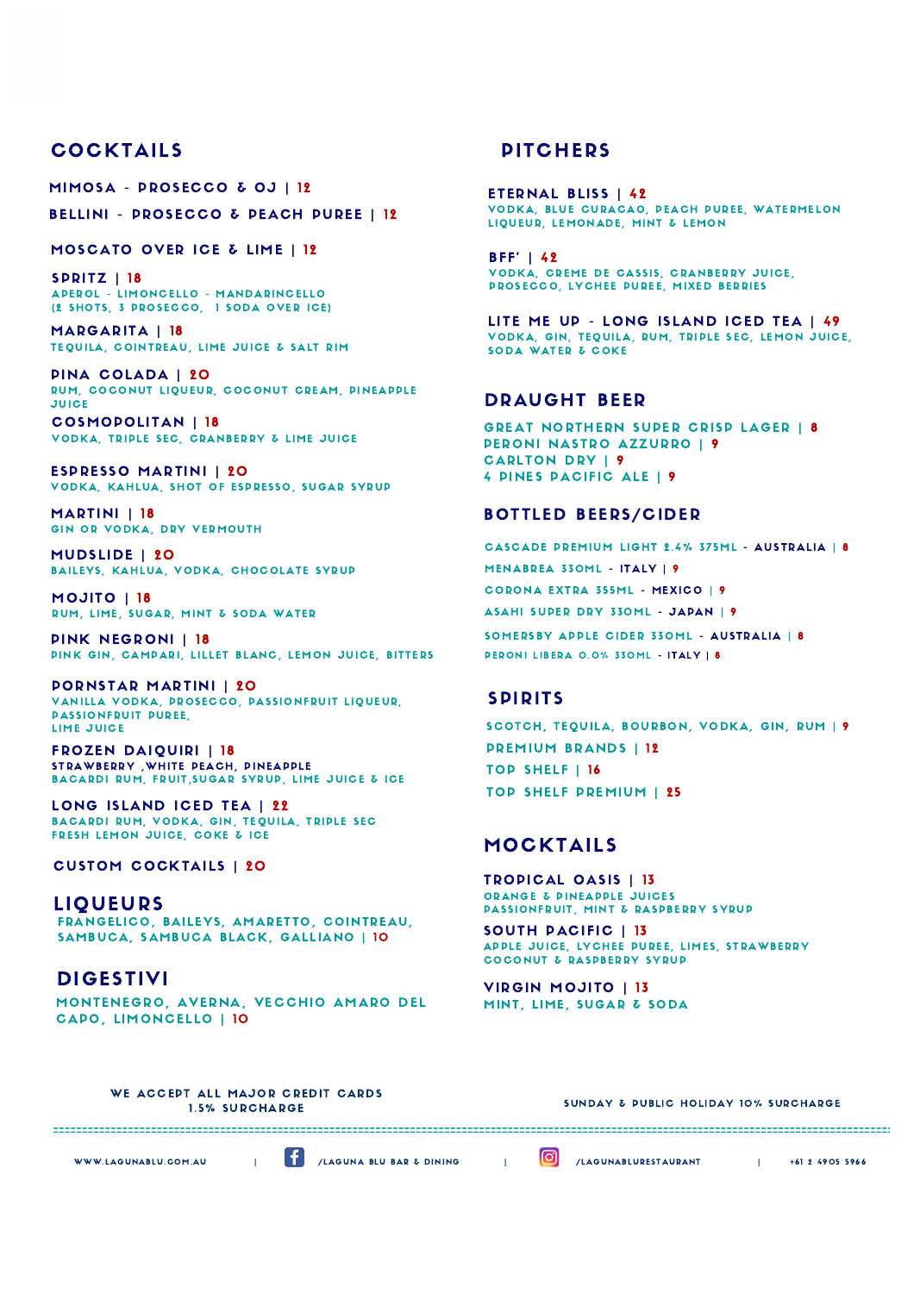### **COCKTAILS**

MIMOSA - PROSECCO & OJ | 12

BELLINI - PROSECCO & PEACH PUREE | 12

MOSCATO OVER ICE & LIME | 12

SPRITZ | 18 APEROL - LIMONCELLO - MANDARINCELLO (2 SHOTS, 3 PROSECCO, 1 SODA OVER ICE)

MARGARITA | 18 TEQUILA, COINTREAU, LIME JUICE & SALT RIM

PINA COLADA | 20 RUM, COCONUT LIQUEUR, COCONUT CREAM, PINEAPPLE **JUICE** 

COSMOPOLITAN | 18 VODKA, TRIPLE SEC, CRANBERRY & LIME JUICE

ESPRESSO MARTINI | 20 VODKA, KAHLUA, SHOT OF ESPRESSO, SUGAR SYRUP

**MARTINI** | 18 GIN OR VODKA, DRY VERMOUTH

MUDSLIDE | 20 BAILEYS, KAHLUA, VODKA, CHOCOLATE SYRUP

MOJITO | 18 RUM, LIME, SUGAR, MINT & SODA WATER

PINK NEGRONI | 18 PINK GIN, CAMPARI, LILLET BLANC, LEMON JUICE, BITTERS

PORNSTAR MARTINI | 20 VANILLA VODKA, PROSECCO, PASSIONFRUIT LIQUEUR, PASSIONFRUIT PUREE, LIME JUICE

FROZEN DAIQUIRI | 18 STRAWBERRY , WHITE PEACH, DINEAPPLE BACARDI RUM, FRUIT, SUGAR SYRUP, LIME JUICE & ICE

LONG ISLAND ICED TEA | 22 BACARDI RUM, VODKA, GIN, TEQUILA, TRIPLE SEC FRESH LEMON JUICE, COKE & ICE

#### CUSTOM COCKTAILS | 20

LIQUEURS FRANGELICO, BAILEYS, AMARETTO, COINTREAU, SAMBUCA, SAMBUCA BLACK, GALLIANO | 10

DIGESTIVI MONTENEGRO, AVERNA, VECCHIO AMARO DEL CAPO, LIMONCELLO | 10

### **PITCHERS**

ETERNAL BLISS | 42 VODKA, BLUE CURACAO, PEACH PUREE, WATERMELON LIQUEUR, LEMONADE, MINT & LEMON

 $BF' | 42$ VODKA, CREME DE CASSIS, CRANBERRY JUICE, PROSECCO, LYCHEE PUREE, MIXED BERRIES

LITE ME UP - LONG ISLAND ICED TEA | 49 VODKA, GIN, TEQUILA, RUM, TRIPLE SEC, LEMON JUICE, SODA WATER & COKE

### DRAUGHT BEER

GREAT NORTHERN SUPER CRISP LAGER | 8 PERONI NASTRO AZZURRO | 9 CARLTON DRY | 9 4 PINES PACIFIC ALE | 9

### BOTTLED BEERS/CIDER

MENABREA 330ML - ITALY | 9 ASAHI SUPER DRY 330ML - JAPAN | 9 CORONA EXTRA 355ML - MEXICO | 9 CASCADE PREMIUM LIGHT 2.4% 375ML - AUSTRALIA | 8 SOMERSBY APPLE CIDER 330ML - AUSTRALIA | 8 PERONI LIBERA 0.0% 330ML - ITALY | 8

### SPIRITS

SCOTCH, TEQUILA, BOURBON, VODKA, GIN, RUM | 9 PREMIUM BRANDS | 12 TOP SHELF | 16 TOP SHELF PREMIUM | 25

### MOCKTAILS

TROPICAL OASIS | 13 ORANGE & PINEAPPLE JUICES PASSIONFRUIT, MINT & RASPBERRY SYRUP

SOUTH PACIFIC | 13 APPLE JUICE, LYCHEE PUREE, LIMES, STRAWBERRY COCONUT & RASPBERRY SYRUP

VIRGIN MOJITO | 13 MINT, LIME, SUGAR & SODA

WE ACCEPT ALL MAJOR CREDIT CARDS 1.5% SURCHARGE

SUNDAY & PUBLIC HOLIDAY 10% SURCHARGE

WWW.LAGUNABLU.COM.AU | <sup>1</sup>/LAGUNA BLU BAR & DINING | <sup>1</sup>/LAGUNABLURESTAURANT | +61 2 4905 5966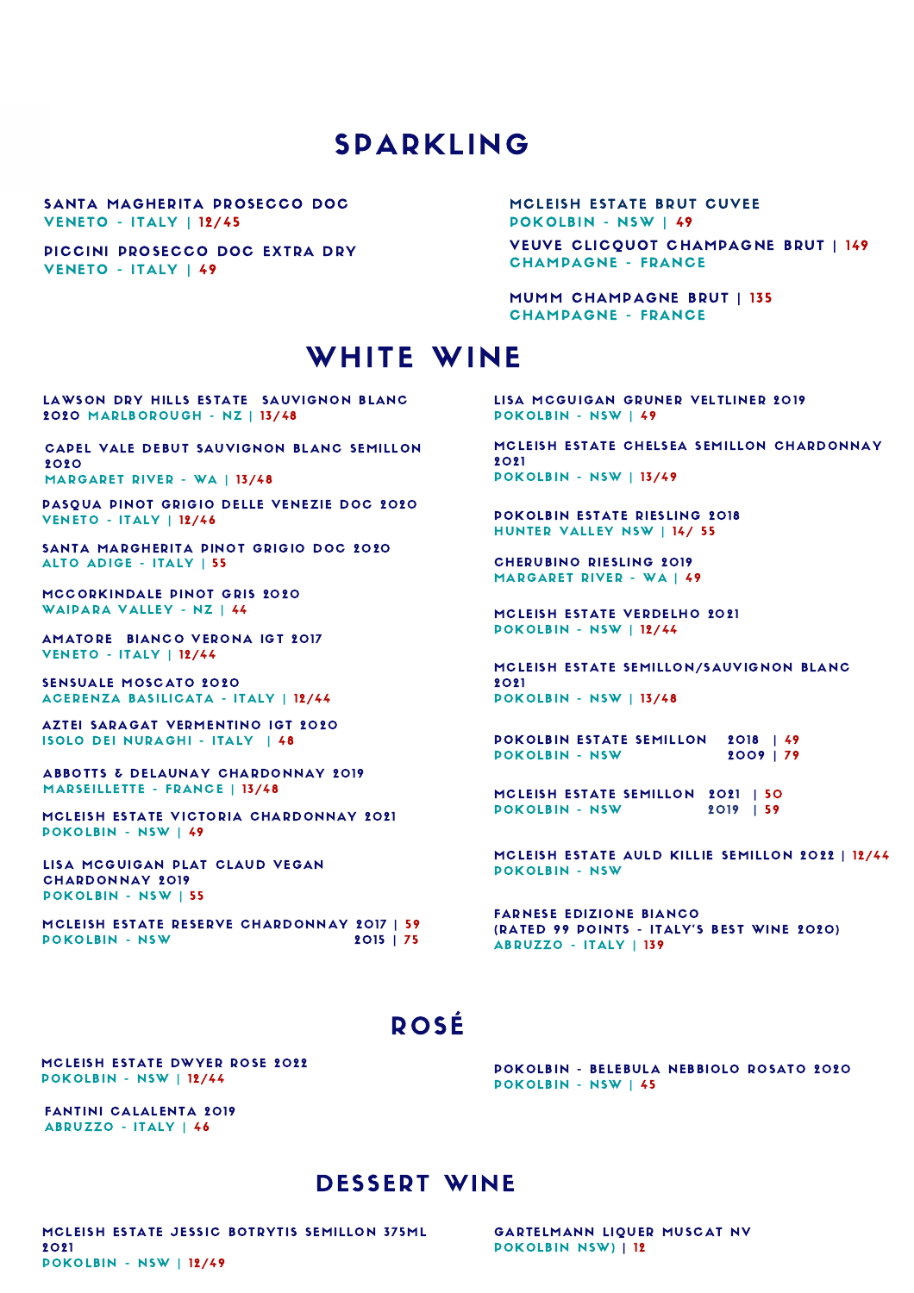# SPARKLING

SANTA MAGHERITA PROSECCO DOC **VENETO - ITALY | 12/45** 

PICCINI PROSECCO DOC EXTRA DRY VENETO - ITALY | 49

VEUVE CLICQUOT CHAMPAGNE BRUT | 149 **CHAMPAGNE - FRANCE** MCLEISH ESTATE BRUT CUVEE POKOLBIN - NSW | 49

MUMM CHAMPAGNE BRUT | 135 **CHAMPAGNE - FRANCE** 

# WHITE WINE

LAWSON DRY HILLS ESTATE SAUVIGNON BLANC 2020 MARLBOROUGH - NZ | 13/48

CAPEL VALE DEBUT SAUVIGNON BLANC SEMILLON 2020 MARGARET RIVER - WA | 13/48

PASQUA PINOT GRIGIO DELLE VENEZIE DOC 2020 **VENETO - ITALY | 12/46** 

SANTA MARGHERITA PINOT GRIGIO DOC 2020 ALTO ADIGE - ITALY | 55

MCCORKINDALE PINOT GRIS 2020 WAIPARA VALLEY - NZ | 44

AMATORE BIANCO VERONA IGT 2017 **VENETO - ITALY | 12/44** 

SENSUALE MOSCATO 2020 ACERENZA BASILICATA - ITALY | 12/44

AZTEI SARAGAT VERMENTINO IGT 2020 ISOLO DEI NURAGHI - ITALY | 48

ABBOTTS & DELAUNAY CHARDONNAY 2019 MARSEILLETTE - FRANCE | 13/48

MCLEISH ESTATE VICTORIA CHARDONNAY 2021 POKOLBIN - NSW | 49

LISA MCGUIGAN PLAT CLAUD VEGAN CHARDONNAY 2019 POKOLBIN - NSW | 55

MCLEISH ESTATE RESERVE CHARDONNAY 2017 | 59 POKOLBIN - NSW 2015 | 75 LISA MCGUIGAN GRUNER VELTLINER 2019 POKOLBIN - NSW | 49

MCLEISH ESTATE CHELSEA SEMILLON CHARDONNAY 202 1 POKOLBIN - NSW | 13/49

POKOLBIN ESTATE RIESLING 2018 HUNTER VALLEY NSW | 14/ 55

**CHERUBINO RIESLING 2019** MARGARET RIVER - WA | 49

MCLEISH ESTATE VERDELHO 2021 **POKOLBIN - NSW | 12/44** 

MCLEISH ESTATE SEMILLON/SAUVIGNON BLANC **2021** POKOLBIN - NSW | 13/48

POKOLBIN ESTATE SEMILLON 2018 | 49 POKOLBIN - NSW 2009 | 79

MCLEISH ESTATE SEMILLON 2021 | 50 POKOLBIN - NSW 2019 | 59

MCLEISH ESTATE AULD KILLIE SEMILLON 2022 | 12/44 **POKOLBIN - NSW** 

FARNESE EDIZIONE BIANCO (RATED 99 POINTS - ITALY'S BEST WINE 2020) ABRUZZO - ITALY | 139

# ROSÉ

MCLEISH ESTATE DWYER ROSE 2022 POKOLBIN - NSW | 12/44

FANTINI CALALENTA 2019 ABRUZZO - ITALY | 46

POKOLBIN - BELEBULA NEBBIOLO ROSATO 2020 POKOLBIN - NSW | 45

### DESSERT WINE

MCLEISH ESTATE JESSIC BOTRYTIS SEMILLON 375ML 202 1 **POKOLBIN - NSW | 12/49** 

GARTELMANN LIQUER MUSCAT NV POKOLBIN NSW) | 12